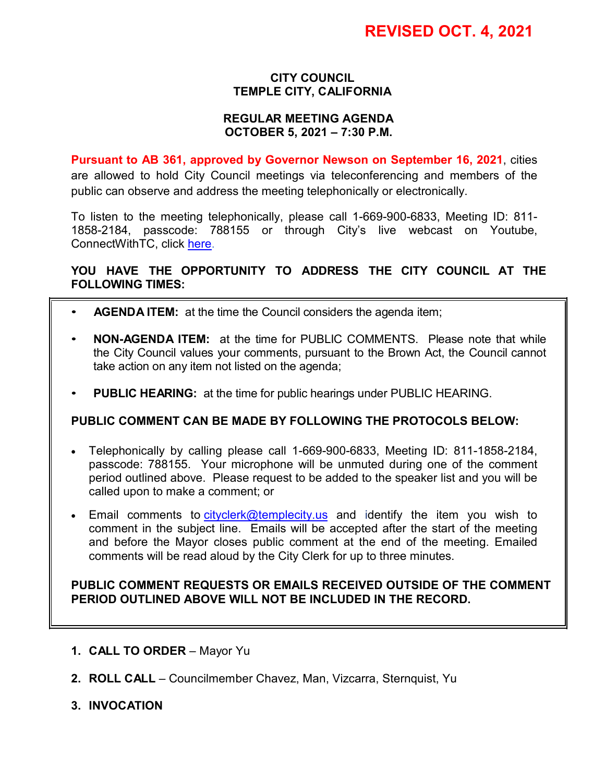# **REVISED OCT. 4, 2021**

#### **CITY COUNCIL TEMPLE CITY, CALIFORNIA**

#### **REGULAR MEETING AGENDA OCTOBER 5, 2021 – 7:30 P.M.**

**Pursuant to AB 361, approved by Governor Newson on September 16, 2021**, cities are allowed to hold City Council meetings via teleconferencing and members of the public can observe and address the meeting telephonically or electronically.

To listen to the meeting telephonically, please call 1-669-900-6833, Meeting ID: 811- 1858-2184, passcode: 788155 or through City's live webcast on Youtube, ConnectWithTC, click [here.](https://www.ci.temple-city.ca.us/516/Meeting-Webcast)

# **YOU HAVE THE OPPORTUNITY TO ADDRESS THE CITY COUNCIL AT THE FOLLOWING TIMES:**

- **AGENDA ITEM:** at the time the Council considers the agenda item;
- **NON-AGENDA ITEM:** at the time for PUBLIC COMMENTS. Please note that while the City Council values your comments, pursuant to the Brown Act, the Council cannot take action on any item not listed on the agenda;
- **PUBLIC HEARING:** at the time for public hearings under PUBLIC HEARING.

#### **PUBLIC COMMENT CAN BE MADE BY FOLLOWING THE PROTOCOLS BELOW:**

- Telephonically by calling please call 1-669-900-6833, Meeting ID: 811-1858-2184, passcode: 788155. Your microphone will be unmuted during one of the comment period outlined above. Please request to be added to the speaker list and you will be called upon to make a comment; or
- Email comments to [cityclerk@templecity.us](mailto:cityclerk@templecity.us) and identify the item you wish to comment in the subject line. Emails will be accepted after the start of the meeting and before the Mayor closes public comment at the end of the meeting. Emailed comments will be read aloud by the City Clerk for up to three minutes.

#### **PUBLIC COMMENT REQUESTS OR EMAILS RECEIVED OUTSIDE OF THE COMMENT PERIOD OUTLINED ABOVE WILL NOT BE INCLUDED IN THE RECORD.**

- **1. CALL TO ORDER**  Mayor Yu
- **2. ROLL CALL**  Councilmember Chavez, Man, Vizcarra, Sternquist, Yu
- **3. INVOCATION**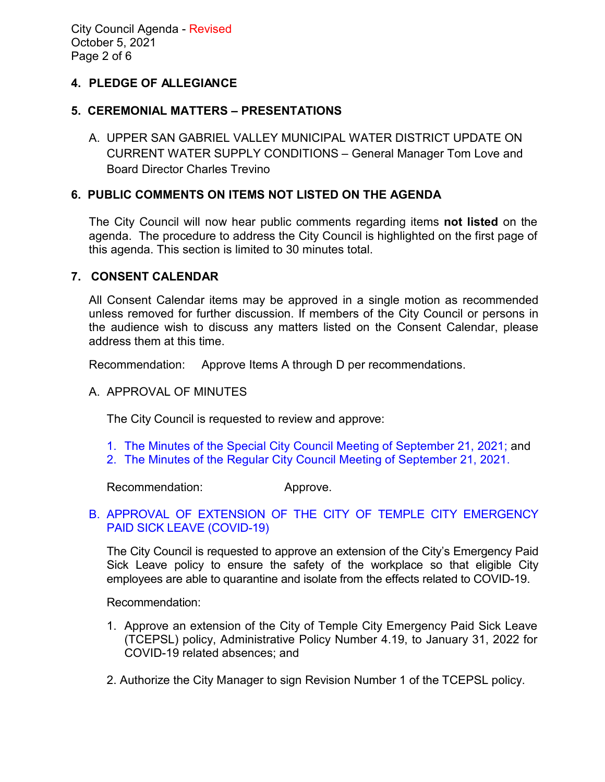# **4. PLEDGE OF ALLEGIANCE**

### **5. CEREMONIAL MATTERS – PRESENTATIONS**

A. UPPER SAN GABRIEL VALLEY MUNICIPAL WATER DISTRICT UPDATE ON CURRENT WATER SUPPLY CONDITIONS – General Manager Tom Love and Board Director Charles Trevino

### **6. PUBLIC COMMENTS ON ITEMS NOT LISTED ON THE AGENDA**

The City Council will now hear public comments regarding items **not listed** on the agenda. The procedure to address the City Council is highlighted on the first page of this agenda. This section is limited to 30 minutes total.

#### **7. CONSENT CALENDAR**

All Consent Calendar items may be approved in a single motion as recommended unless removed for further discussion. If members of the City Council or persons in the audience wish to discuss any matters listed on the Consent Calendar, please address them at this time.

Recommendation: Approve Items A through D per recommendations.

#### A. APPROVAL OF MINUTES

The City Council is requested to review and approve:

- 1. The Minutes of the Special [City Council Meeting of September 21, 2021;](https://www.ci.temple-city.ca.us/DocumentCenter/View/16812/7A1_CCM---2021-09-21-Special) and
- 2. [The Minutes of the Regular City Council Meeting of September 21, 2021.](https://www.ci.temple-city.ca.us/DocumentCenter/View/16813/7A2_CCM---2021-09-21)

Recommendation: Approve.

# [B. APPROVAL OF EXTENSION OF THE CITY OF TEMPLE CITY EMERGENCY](https://www.ci.temple-city.ca.us/DocumentCenter/View/16814/7B_EPSL-Extension_Staff-Report_Jan-31-2022)  [PAID SICK LEAVE \(COVID-19\)](https://www.ci.temple-city.ca.us/DocumentCenter/View/16814/7B_EPSL-Extension_Staff-Report_Jan-31-2022)

The City Council is requested to approve an extension of the City's Emergency Paid Sick Leave policy to ensure the safety of the workplace so that eligible City employees are able to quarantine and isolate from the effects related to COVID-19.

Recommendation:

- 1. Approve an extension of the City of Temple City Emergency Paid Sick Leave (TCEPSL) policy, Administrative Policy Number 4.19, to January 31, 2022 for COVID-19 related absences; and
- 2. Authorize the City Manager to sign Revision Number 1 of the TCEPSL policy.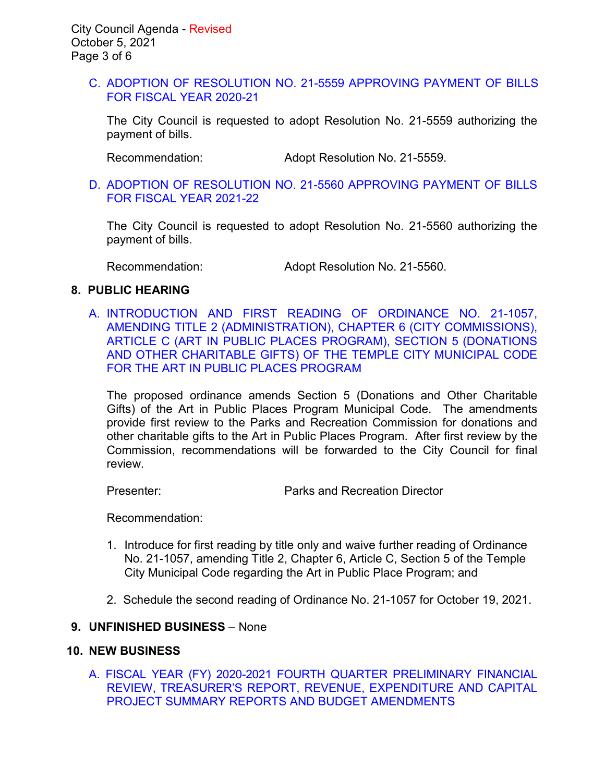#### C. [ADOPTION OF RESOLUTION NO. 21-5559](https://www.ci.temple-city.ca.us/DocumentCenter/View/16815/7C_CC-Warrant-FY-2020-2021-w-attachments) APPROVING PAYMENT OF BILLS [FOR FISCAL YEAR 2020-21](https://www.ci.temple-city.ca.us/DocumentCenter/View/16815/7C_CC-Warrant-FY-2020-2021-w-attachments)

The City Council is requested to adopt Resolution No. 21-5559 authorizing the payment of bills.

Recommendation: Adopt Resolution No. 21-5559.

#### D. [ADOPTION OF RESOLUTION NO. 21-5560](https://www.ci.temple-city.ca.us/DocumentCenter/View/16816/7D_CC-Warrant-FY-2021-22-w-attachments) APPROVING PAYMENT OF BILLS [FOR FISCAL YEAR 2021-22](https://www.ci.temple-city.ca.us/DocumentCenter/View/16816/7D_CC-Warrant-FY-2021-22-w-attachments)

The City Council is requested to adopt Resolution No. 21-5560 authorizing the payment of bills.

Recommendation: Adopt Resolution No. 21-5560.

#### **8. PUBLIC HEARING**

A. [INTRODUCTION AND FIRST READING OF ORDINANCE NO. 21-1057,](https://www.ci.temple-city.ca.us/DocumentCenter/View/16817/8A_Art-in-Public-Places-Program_Staff-Report-for-First-Reading-Ord-No-21-1057)  [AMENDING TITLE 2 \(ADMINISTRATION\), CHAPTER 6 \(CITY COMMISSIONS\),](https://www.ci.temple-city.ca.us/DocumentCenter/View/16817/8A_Art-in-Public-Places-Program_Staff-Report-for-First-Reading-Ord-No-21-1057)  [ARTICLE C \(ART IN PUBLIC PLACES PROGRAM\), SECTION 5 \(DONATIONS](https://www.ci.temple-city.ca.us/DocumentCenter/View/16817/8A_Art-in-Public-Places-Program_Staff-Report-for-First-Reading-Ord-No-21-1057)  [AND OTHER CHARITABLE GIFTS\) OF THE TEMPLE CITY MUNICIPAL CODE](https://www.ci.temple-city.ca.us/DocumentCenter/View/16817/8A_Art-in-Public-Places-Program_Staff-Report-for-First-Reading-Ord-No-21-1057)  [FOR THE ART IN PUBLIC PLACES PROGRAM](https://www.ci.temple-city.ca.us/DocumentCenter/View/16817/8A_Art-in-Public-Places-Program_Staff-Report-for-First-Reading-Ord-No-21-1057)

The proposed ordinance amends Section 5 (Donations and Other Charitable Gifts) of the Art in Public Places Program Municipal Code. The amendments provide first review to the Parks and Recreation Commission for donations and other charitable gifts to the Art in Public Places Program. After first review by the Commission, recommendations will be forwarded to the City Council for final review.

Presenter: Parks and Recreation Director

Recommendation:

- 1. Introduce for first reading by title only and waive further reading of Ordinance No. 21-1057, amending Title 2, Chapter 6, Article C, Section 5 of the Temple City Municipal Code regarding the Art in Public Place Program; and
- 2. Schedule the second reading of Ordinance No. 21-1057 for October 19, 2021.

#### **9. UNFINISHED BUSINESS** – None

#### **10. NEW BUSINESS**

[A. FISCAL YEAR \(FY\) 2020-2021 FOURTH QUARTER PRELIMINARY FINANCIAL](https://www.ci.temple-city.ca.us/DocumentCenter/View/16818/10A_4th-Qtr-Preliminary-Financial-Update_4th-Quarter-Budget-Amendments)  [REVIEW, TREASURER'S REPORT, REVENUE, EXPENDITURE AND CAPITAL](https://www.ci.temple-city.ca.us/DocumentCenter/View/16818/10A_4th-Qtr-Preliminary-Financial-Update_4th-Quarter-Budget-Amendments)  [PROJECT SUMMARY REPORTS AND BUDGET AMENDMENTS](https://www.ci.temple-city.ca.us/DocumentCenter/View/16818/10A_4th-Qtr-Preliminary-Financial-Update_4th-Quarter-Budget-Amendments)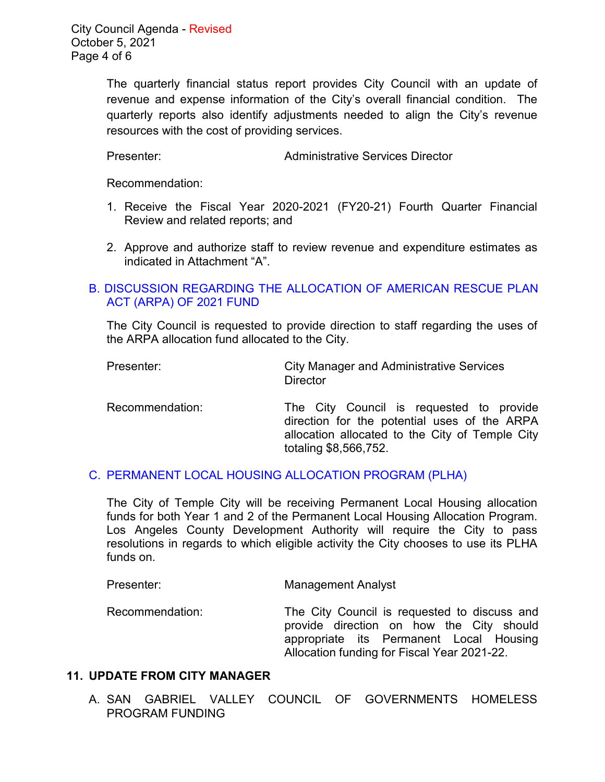The quarterly financial status report provides City Council with an update of revenue and expense information of the City's overall financial condition. The quarterly reports also identify adjustments needed to align the City's revenue resources with the cost of providing services.

Presenter: Administrative Services Director

Recommendation:

- 1. Receive the Fiscal Year 2020-2021 (FY20-21) Fourth Quarter Financial Review and related reports; and
- 2. Approve and authorize staff to review revenue and expenditure estimates as indicated in Attachment "A".

# [B. DISCUSSION REGARDING THE ALLOCATION OF AMERICAN RESCUE PLAN](https://www.ci.temple-city.ca.us/DocumentCenter/View/16820/10B_ARPA-Allocation-Staff-Report)  [ACT \(ARPA\) OF 2021 FUND](https://www.ci.temple-city.ca.us/DocumentCenter/View/16820/10B_ARPA-Allocation-Staff-Report)

The City Council is requested to provide direction to staff regarding the uses of the ARPA allocation fund allocated to the City.

| Presenter:      | <b>City Manager and Administrative Services</b><br><b>Director</b>                                                                                                   |
|-----------------|----------------------------------------------------------------------------------------------------------------------------------------------------------------------|
| Recommendation: | The City Council is requested to provide<br>direction for the potential uses of the ARPA<br>allocation allocated to the City of Temple City<br>totaling \$8,566,752. |

#### C. [PERMANENT LOCAL HOUSING ALLOCATION PROGRAM \(PLHA\)](https://www.ci.temple-city.ca.us/DocumentCenter/View/16819/10C_PLHA-Staff-Report)

The City of Temple City will be receiving Permanent Local Housing allocation funds for both Year 1 and 2 of the Permanent Local Housing Allocation Program. Los Angeles County Development Authority will require the City to pass resolutions in regards to which eligible activity the City chooses to use its PLHA funds on.

Presenter: Management Analyst

Recommendation: The City Council is requested to discuss and provide direction on how the City should appropriate its Permanent Local Housing Allocation funding for Fiscal Year 2021-22.

# **11. UPDATE FROM CITY MANAGER**

A. SAN GABRIEL VALLEY COUNCIL OF GOVERNMENTS HOMELESS PROGRAM FUNDING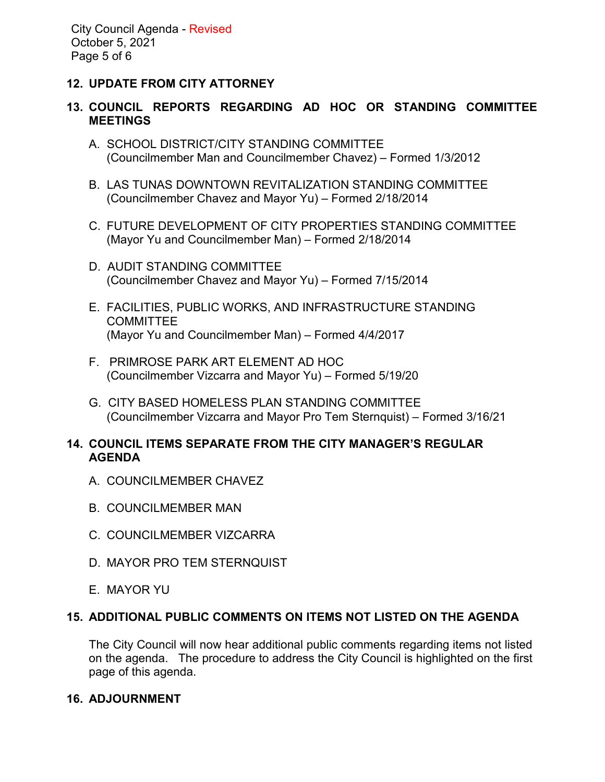# **12. UPDATE FROM CITY ATTORNEY**

# **13. COUNCIL REPORTS REGARDING AD HOC OR STANDING COMMITTEE MEETINGS**

- A. SCHOOL DISTRICT/CITY STANDING COMMITTEE (Councilmember Man and Councilmember Chavez) – Formed 1/3/2012
- B. LAS TUNAS DOWNTOWN REVITALIZATION STANDING COMMITTEE (Councilmember Chavez and Mayor Yu) – Formed 2/18/2014
- C. FUTURE DEVELOPMENT OF CITY PROPERTIES STANDING COMMITTEE (Mayor Yu and Councilmember Man) – Formed 2/18/2014
- D. AUDIT STANDING COMMITTEE (Councilmember Chavez and Mayor Yu) – Formed 7/15/2014
- E. FACILITIES, PUBLIC WORKS, AND INFRASTRUCTURE STANDING COMMITTEE (Mayor Yu and Councilmember Man) – Formed 4/4/2017
- F. PRIMROSE PARK ART ELEMENT AD HOC (Councilmember Vizcarra and Mayor Yu) – Formed 5/19/20
- G. CITY BASED HOMELESS PLAN STANDING COMMITTEE (Councilmember Vizcarra and Mayor Pro Tem Sternquist) – Formed 3/16/21

# **14. COUNCIL ITEMS SEPARATE FROM THE CITY MANAGER'S REGULAR AGENDA**

- A. COUNCILMEMBER CHAVEZ
- B. COUNCILMEMBER MAN
- C. COUNCILMEMBER VIZCARRA
- D. MAYOR PRO TEM STERNQUIST
- E. MAYOR YU

# **15. ADDITIONAL PUBLIC COMMENTS ON ITEMS NOT LISTED ON THE AGENDA**

The City Council will now hear additional public comments regarding items not listed on the agenda. The procedure to address the City Council is highlighted on the first page of this agenda.

# **16. ADJOURNMENT**